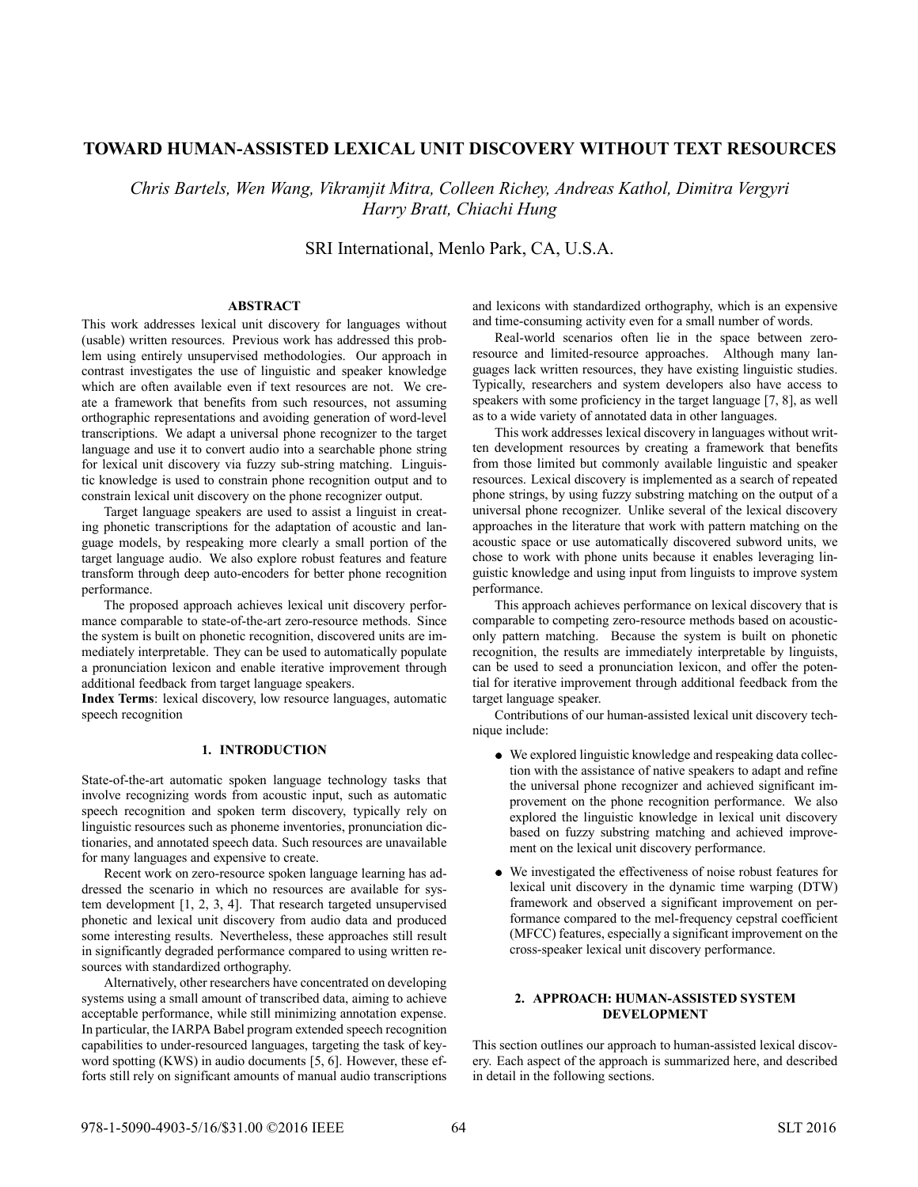# **TOWARD HUMAN-ASSISTED LEXICAL UNIT DISCOVERY WITHOUT TEXT RESOURCES**

*Chris Bartels, Wen Wang, Vikramjit Mitra, Colleen Richey, Andreas Kathol, Dimitra Vergyri Harry Bratt, Chiachi Hung*

SRI International, Menlo Park, CA, U.S.A.

## **ABSTRACT**

This work addresses lexical unit discovery for languages without (usable) written resources. Previous work has addressed this problem using entirely unsupervised methodologies. Our approach in contrast investigates the use of linguistic and speaker knowledge which are often available even if text resources are not. We create a framework that benefits from such resources, not assuming orthographic representations and avoiding generation of word-level transcriptions. We adapt a universal phone recognizer to the target language and use it to convert audio into a searchable phone string for lexical unit discovery via fuzzy sub-string matching. Linguistic knowledge is used to constrain phone recognition output and to constrain lexical unit discovery on the phone recognizer output.

Target language speakers are used to assist a linguist in creating phonetic transcriptions for the adaptation of acoustic and language models, by respeaking more clearly a small portion of the target language audio. We also explore robust features and feature transform through deep auto-encoders for better phone recognition performance.

The proposed approach achieves lexical unit discovery performance comparable to state-of-the-art zero-resource methods. Since the system is built on phonetic recognition, discovered units are immediately interpretable. They can be used to automatically populate a pronunciation lexicon and enable iterative improvement through additional feedback from target language speakers.

**Index Terms**: lexical discovery, low resource languages, automatic speech recognition

### **1. INTRODUCTION**

State-of-the-art automatic spoken language technology tasks that involve recognizing words from acoustic input, such as automatic speech recognition and spoken term discovery, typically rely on linguistic resources such as phoneme inventories, pronunciation dictionaries, and annotated speech data. Such resources are unavailable for many languages and expensive to create.

Recent work on zero-resource spoken language learning has addressed the scenario in which no resources are available for system development [1, 2, 3, 4]. That research targeted unsupervised phonetic and lexical unit discovery from audio data and produced some interesting results. Nevertheless, these approaches still result in significantly degraded performance compared to using written resources with standardized orthography.

Alternatively, other researchers have concentrated on developing systems using a small amount of transcribed data, aiming to achieve acceptable performance, while still minimizing annotation expense. In particular, the IARPA Babel program extended speech recognition capabilities to under-resourced languages, targeting the task of keyword spotting (KWS) in audio documents [5, 6]. However, these efforts still rely on significant amounts of manual audio transcriptions

and lexicons with standardized orthography, which is an expensive and time-consuming activity even for a small number of words.

Real-world scenarios often lie in the space between zeroresource and limited-resource approaches. Although many languages lack written resources, they have existing linguistic studies. Typically, researchers and system developers also have access to speakers with some proficiency in the target language [7, 8], as well as to a wide variety of annotated data in other languages.

This work addresses lexical discovery in languages without written development resources by creating a framework that benefits from those limited but commonly available linguistic and speaker resources. Lexical discovery is implemented as a search of repeated phone strings, by using fuzzy substring matching on the output of a universal phone recognizer. Unlike several of the lexical discovery approaches in the literature that work with pattern matching on the acoustic space or use automatically discovered subword units, we chose to work with phone units because it enables leveraging linguistic knowledge and using input from linguists to improve system performance.

This approach achieves performance on lexical discovery that is comparable to competing zero-resource methods based on acousticonly pattern matching. Because the system is built on phonetic recognition, the results are immediately interpretable by linguists, can be used to seed a pronunciation lexicon, and offer the potential for iterative improvement through additional feedback from the target language speaker.

Contributions of our human-assisted lexical unit discovery technique include:

- We explored linguistic knowledge and respeaking data collection with the assistance of native speakers to adapt and refine the universal phone recognizer and achieved significant improvement on the phone recognition performance. We also explored the linguistic knowledge in lexical unit discovery based on fuzzy substring matching and achieved improvement on the lexical unit discovery performance.
- We investigated the effectiveness of noise robust features for lexical unit discovery in the dynamic time warping (DTW) framework and observed a significant improvement on performance compared to the mel-frequency cepstral coefficient (MFCC) features, especially a significant improvement on the cross-speaker lexical unit discovery performance.

# **2. APPROACH: HUMAN-ASSISTED SYSTEM DEVELOPMENT**

This section outlines our approach to human-assisted lexical discovery. Each aspect of the approach is summarized here, and described in detail in the following sections.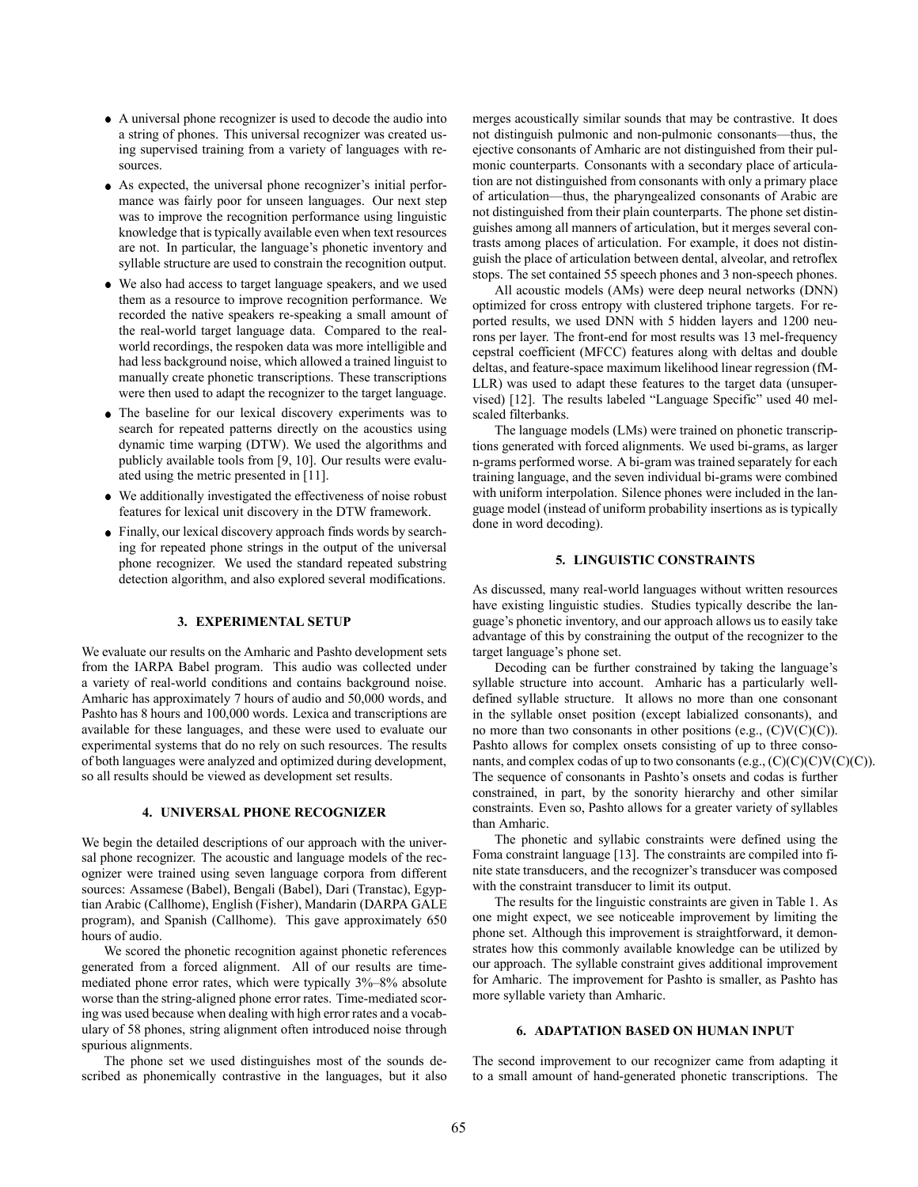- A universal phone recognizer is used to decode the audio into a string of phones. This universal recognizer was created using supervised training from a variety of languages with resources.
- As expected, the universal phone recognizer's initial performance was fairly poor for unseen languages. Our next step was to improve the recognition performance using linguistic knowledge that is typically available even when text resources are not. In particular, the language's phonetic inventory and syllable structure are used to constrain the recognition output.
- We also had access to target language speakers, and we used them as a resource to improve recognition performance. We recorded the native speakers re-speaking a small amount of the real-world target language data. Compared to the realworld recordings, the respoken data was more intelligible and had less background noise, which allowed a trained linguist to manually create phonetic transcriptions. These transcriptions were then used to adapt the recognizer to the target language.
- The baseline for our lexical discovery experiments was to search for repeated patterns directly on the acoustics using dynamic time warping (DTW). We used the algorithms and publicly available tools from [9, 10]. Our results were evaluated using the metric presented in [11].
- We additionally investigated the effectiveness of noise robust features for lexical unit discovery in the DTW framework.
- Finally, our lexical discovery approach finds words by searching for repeated phone strings in the output of the universal phone recognizer. We used the standard repeated substring detection algorithm, and also explored several modifications.

### **3. EXPERIMENTAL SETUP**

We evaluate our results on the Amharic and Pashto development sets from the IARPA Babel program. This audio was collected under a variety of real-world conditions and contains background noise. Amharic has approximately 7 hours of audio and 50,000 words, and Pashto has 8 hours and 100,000 words. Lexica and transcriptions are available for these languages, and these were used to evaluate our experimental systems that do no rely on such resources. The results of both languages were analyzed and optimized during development, so all results should be viewed as development set results.

### **4. UNIVERSAL PHONE RECOGNIZER**

We begin the detailed descriptions of our approach with the universal phone recognizer. The acoustic and language models of the recognizer were trained using seven language corpora from different sources: Assamese (Babel), Bengali (Babel), Dari (Transtac), Egyptian Arabic (Callhome), English (Fisher), Mandarin (DARPA GALE program), and Spanish (Callhome). This gave approximately 650 hours of audio.

We scored the phonetic recognition against phonetic references generated from a forced alignment. All of our results are timemediated phone error rates, which were typically 3%–8% absolute worse than the string-aligned phone error rates. Time-mediated scoring was used because when dealing with high error rates and a vocabulary of 58 phones, string alignment often introduced noise through spurious alignments.

The phone set we used distinguishes most of the sounds described as phonemically contrastive in the languages, but it also merges acoustically similar sounds that may be contrastive. It does not distinguish pulmonic and non-pulmonic consonants—thus, the ejective consonants of Amharic are not distinguished from their pulmonic counterparts. Consonants with a secondary place of articulation are not distinguished from consonants with only a primary place of articulation—thus, the pharyngealized consonants of Arabic are not distinguished from their plain counterparts. The phone set distinguishes among all manners of articulation, but it merges several contrasts among places of articulation. For example, it does not distinguish the place of articulation between dental, alveolar, and retroflex stops. The set contained 55 speech phones and 3 non-speech phones.

All acoustic models (AMs) were deep neural networks (DNN) optimized for cross entropy with clustered triphone targets. For reported results, we used DNN with 5 hidden layers and 1200 neurons per layer. The front-end for most results was 13 mel-frequency cepstral coefficient (MFCC) features along with deltas and double deltas, and feature-space maximum likelihood linear regression (fM-LLR) was used to adapt these features to the target data (unsupervised) [12]. The results labeled "Language Specific" used 40 melscaled filterbanks.

The language models (LMs) were trained on phonetic transcriptions generated with forced alignments. We used bi-grams, as larger n-grams performed worse. A bi-gram was trained separately for each training language, and the seven individual bi-grams were combined with uniform interpolation. Silence phones were included in the language model (instead of uniform probability insertions as is typically done in word decoding).

# **5. LINGUISTIC CONSTRAINTS**

As discussed, many real-world languages without written resources have existing linguistic studies. Studies typically describe the language's phonetic inventory, and our approach allows us to easily take advantage of this by constraining the output of the recognizer to the target language's phone set.

Decoding can be further constrained by taking the language's syllable structure into account. Amharic has a particularly welldefined syllable structure. It allows no more than one consonant in the syllable onset position (except labialized consonants), and no more than two consonants in other positions (e.g.,  $(C)V(C)(C)$ ). Pashto allows for complex onsets consisting of up to three consonants, and complex codas of up to two consonants  $(e.g., (C)(C)(C)(C))$ . The sequence of consonants in Pashto's onsets and codas is further constrained, in part, by the sonority hierarchy and other similar constraints. Even so, Pashto allows for a greater variety of syllables than Amharic.

The phonetic and syllabic constraints were defined using the Foma constraint language [13]. The constraints are compiled into finite state transducers, and the recognizer's transducer was composed with the constraint transducer to limit its output.

The results for the linguistic constraints are given in Table 1. As one might expect, we see noticeable improvement by limiting the phone set. Although this improvement is straightforward, it demonstrates how this commonly available knowledge can be utilized by our approach. The syllable constraint gives additional improvement for Amharic. The improvement for Pashto is smaller, as Pashto has more syllable variety than Amharic.

### **6. ADAPTATION BASED ON HUMAN INPUT**

The second improvement to our recognizer came from adapting it to a small amount of hand-generated phonetic transcriptions. The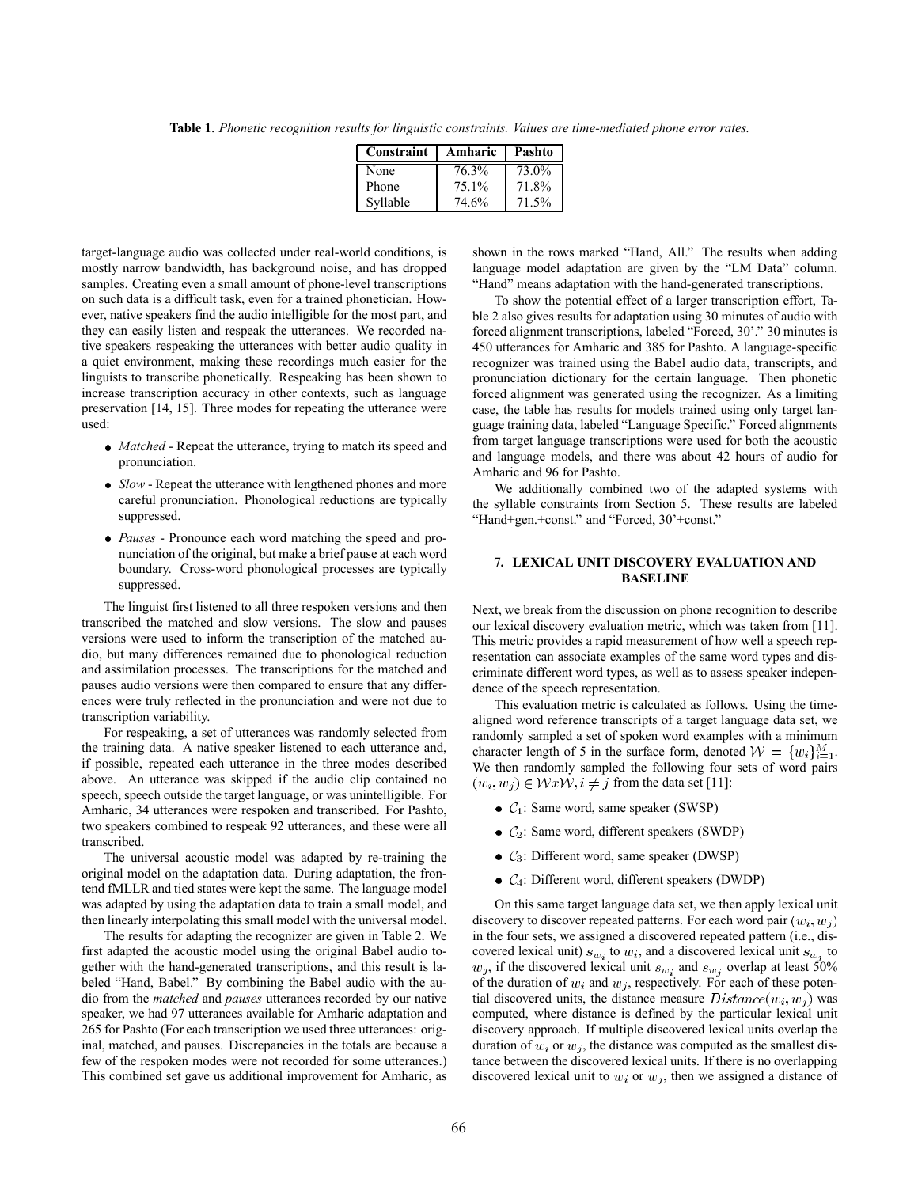**Table 1**. *Phonetic recognition results for linguistic constraints. Values are time-mediated phone error rates.*

| Constraint | Amharic | Pashto |
|------------|---------|--------|
| None       | 76.3%   | 73.0%  |
| Phone      | 75.1%   | 71.8%  |
| Syllable   | 74.6%   | 71.5%  |

target-language audio was collected under real-world conditions, is mostly narrow bandwidth, has background noise, and has dropped samples. Creating even a small amount of phone-level transcriptions on such data is a difficult task, even for a trained phonetician. However, native speakers find the audio intelligible for the most part, and they can easily listen and respeak the utterances. We recorded native speakers respeaking the utterances with better audio quality in a quiet environment, making these recordings much easier for the linguists to transcribe phonetically. Respeaking has been shown to increase transcription accuracy in other contexts, such as language preservation [14, 15]. Three modes for repeating the utterance were used:

- *Matched* Repeat the utterance, trying to match its speed and pronunciation.
- *Slow* Repeat the utterance with lengthened phones and more careful pronunciation. Phonological reductions are typically suppressed.
- *Pauses* Pronounce each word matching the speed and pronunciation of the original, but make a brief pause at each word boundary. Cross-word phonological processes are typically suppressed.

The linguist first listened to all three respoken versions and then transcribed the matched and slow versions. The slow and pauses versions were used to inform the transcription of the matched audio, but many differences remained due to phonological reduction and assimilation processes. The transcriptions for the matched and pauses audio versions were then compared to ensure that any differences were truly reflected in the pronunciation and were not due to transcription variability.

For respeaking, a set of utterances was randomly selected from the training data. A native speaker listened to each utterance and, if possible, repeated each utterance in the three modes described above. An utterance was skipped if the audio clip contained no speech, speech outside the target language, or was unintelligible. For Amharic, 34 utterances were respoken and transcribed. For Pashto, two speakers combined to respeak 92 utterances, and these were all transcribed.

The universal acoustic model was adapted by re-training the original model on the adaptation data. During adaptation, the frontend fMLLR and tied states were kept the same. The language model was adapted by using the adaptation data to train a small model, and then linearly interpolating this small model with the universal model.

The results for adapting the recognizer are given in Table 2. We first adapted the acoustic model using the original Babel audio together with the hand-generated transcriptions, and this result is labeled "Hand, Babel." By combining the Babel audio with the audio from the *matched* and *pauses* utterances recorded by our native speaker, we had 97 utterances available for Amharic adaptation and 265 for Pashto (For each transcription we used three utterances: original, matched, and pauses. Discrepancies in the totals are because a few of the respoken modes were not recorded for some utterances.) This combined set gave us additional improvement for Amharic, as

shown in the rows marked "Hand, All." The results when adding language model adaptation are given by the "LM Data" column. "Hand" means adaptation with the hand-generated transcriptions.

To show the potential effect of a larger transcription effort, Table 2 also gives results for adaptation using 30 minutes of audio with forced alignment transcriptions, labeled "Forced, 30'." 30 minutes is 450 utterances for Amharic and 385 for Pashto. A language-specific recognizer was trained using the Babel audio data, transcripts, and pronunciation dictionary for the certain language. Then phonetic forced alignment was generated using the recognizer. As a limiting case, the table has results for models trained using only target language training data, labeled "Language Specific." Forced alignments from target language transcriptions were used for both the acoustic and language models, and there was about 42 hours of audio for Amharic and 96 for Pashto.

We additionally combined two of the adapted systems with the syllable constraints from Section 5. These results are labeled "Hand+gen.+const." and "Forced, 30'+const."

# **7. LEXICAL UNIT DISCOVERY EVALUATION AND BASELINE**

Next, we break from the discussion on phone recognition to describe our lexical discovery evaluation metric, which was taken from [11]. This metric provides a rapid measurement of how well a speech representation can associate examples of the same word types and discriminate different word types, as well as to assess speaker independence of the speech representation.

This evaluation metric is calculated as follows. Using the timealigned word reference transcripts of a target language data set, we randomly sampled a set of spoken word examples with a minimum character length of 5 in the surface form, denoted  $W = \{w_i\}_{i=1}^M$ . We then randomly sampled the following four sets of word pairs  $(w_i, w_j) \in WxW, i \neq j$  from the data set [11]:

- $\bullet$   $C_1$ : Same word, same speaker (SWSP)
- $\bullet$   $C_2$ : Same word, different speakers (SWDP)
- $\bullet$   $\mathcal{C}_3$ : Different word, same speaker (DWSP)
- $\bullet$   $C_4$ : Different word, different speakers (DWDP)

On this same target language data set, we then apply lexical unit discovery to discover repeated patterns. For each word pair  $(w_i, w_j)$ in the four sets, we assigned a discovered repeated pattern (i.e., discovered lexical unit)  $s_{w_i}$  to  $w_i$ , and a discovered lexical unit  $s_{w_i}$  to  $w_i$ , if the discovered lexical unit  $s_{w_i}$  and  $s_{w_j}$  overlap at least 50% of the duration of  $w_i$  and  $w_j$ , respectively. For each of these potential discovered units, the distance measure  $Distance(w_i, w_i)$  was computed, where distance is defined by the particular lexical unit discovery approach. If multiple discovered lexical units overlap the duration of  $w_i$  or  $w_j$ , the distance was computed as the smallest distance between the discovered lexical units. If there is no overlapping discovered lexical unit to  $w_i$  or  $w_j$ , then we assigned a distance of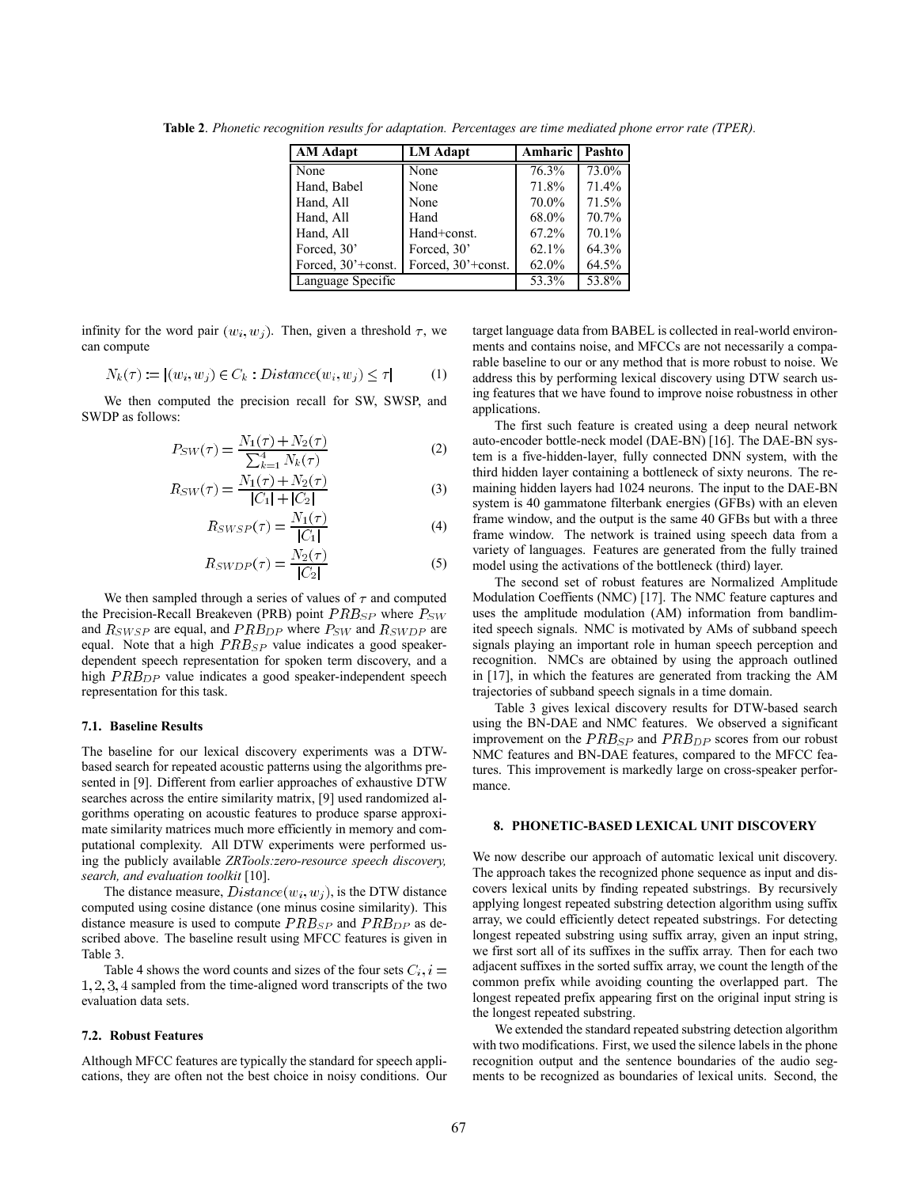| <b>AM</b> Adapt    | <b>LM</b> Adapt    | Amharic             | Pashto   |
|--------------------|--------------------|---------------------|----------|
| None               | None               | $76.\overline{3\%}$ | $73.0\%$ |
| Hand, Babel        | None               | 71.8%               | 71.4%    |
| Hand, All          | None               | 70.0%               | 71.5%    |
| Hand, All          | Hand               | 68.0%               | 70.7%    |
| Hand, All          | Hand+const.        | 67.2%               | 70.1%    |
| Forced, 30'        | Forced, 30'        | 62.1%               | 64.3%    |
| Forced, 30'+const. | Forced, 30'+const. | 62.0%               | 64.5%    |
| Language Specific  |                    | 53.3%               | 53.8%    |

**Table 2**. *Phonetic recognition results for adaptation. Percentages are time mediated phone error rate (TPER).*

infinity for the word pair  $(w_i, w_j)$ . Then, given a threshold  $\tau$ , we can compute

$$
N_k(\tau) := |(w_i, w_j) \in C_k : Distance(w_i, w_j) \le \tau|
$$
 (1)

We then computed the precision recall for SW, SWSP, and SWDP as follows:

$$
P_{SW}(\tau) = \frac{N_1(\tau) + N_2(\tau)}{\sum_{k=1}^4 N_k(\tau)}
$$
(2)

$$
R_{SW}(\tau) = \frac{N_1(\tau) + N_2(\tau)}{|C_1| + |C_2|} \tag{3}
$$

$$
R_{SWSP}(\tau) = \frac{N_1(\tau)}{|C_1|} \tag{4}
$$

$$
R_{SWDP}(\tau) = \frac{N_2(\tau)}{|C_2|} \tag{5}
$$

We then sampled through a series of values of  $\tau$  and computed the Precision-Recall Breakeven (PRB) point  $PRB_{SP}$  where  $P_{SW}$ and  $R_{SWSP}$  are equal, and  $PRB_{DP}$  where  $P_{SW}$  and  $R_{SWDP}$  are equal. Note that a high  $PRB_{SP}$  value indicates a good speakerdependent speech representation for spoken term discovery, and a high  $PRB_{DP}$  value indicates a good speaker-independent speech representation for this task.

#### **7.1. Baseline Results**

The baseline for our lexical discovery experiments was a DTWbased search for repeated acoustic patterns using the algorithms presented in [9]. Different from earlier approaches of exhaustive DTW searches across the entire similarity matrix, [9] used randomized algorithms operating on acoustic features to produce sparse approximate similarity matrices much more efficiently in memory and computational complexity. All DTW experiments were performed using the publicly available *ZRTools:zero-resource speech discovery, search, and evaluation toolkit* [10].

The distance measure,  $Distance(w_i, w_j)$ , is the DTW distance computed using cosine distance (one minus cosine similarity). This distance measure is used to compute  $PRB_{SP}$  and  $PRB_{DP}$  as described above. The baseline result using MFCC features is given in Table 3.

Table 4 shows the word counts and sizes of the four sets  $C_i, i =$  $1, 2, 3, 4$  sampled from the time-aligned word transcripts of the two evaluation data sets.

## **7.2. Robust Features**

Although MFCC features are typically the standard for speech applications, they are often not the best choice in noisy conditions. Our target language data from BABEL is collected in real-world environments and contains noise, and MFCCs are not necessarily a comparable baseline to our or any method that is more robust to noise. We address this by performing lexical discovery using DTW search using features that we have found to improve noise robustness in other applications.

The first such feature is created using a deep neural network auto-encoder bottle-neck model (DAE-BN) [16]. The DAE-BN system is a five-hidden-layer, fully connected DNN system, with the third hidden layer containing a bottleneck of sixty neurons. The remaining hidden layers had 1024 neurons. The input to the DAE-BN system is 40 gammatone filterbank energies (GFBs) with an eleven frame window, and the output is the same 40 GFBs but with a three frame window. The network is trained using speech data from a variety of languages. Features are generated from the fully trained model using the activations of the bottleneck (third) layer.

The second set of robust features are Normalized Amplitude Modulation Coeffients (NMC) [17]. The NMC feature captures and uses the amplitude modulation (AM) information from bandlimited speech signals. NMC is motivated by AMs of subband speech signals playing an important role in human speech perception and recognition. NMCs are obtained by using the approach outlined in [17], in which the features are generated from tracking the AM trajectories of subband speech signals in a time domain.

Table 3 gives lexical discovery results for DTW-based search using the BN-DAE and NMC features. We observed a significant improvement on the  $PRB_{SP}$  and  $PRB_{DP}$  scores from our robust NMC features and BN-DAE features, compared to the MFCC features. This improvement is markedly large on cross-speaker performance.

#### **8. PHONETIC-BASED LEXICAL UNIT DISCOVERY**

We now describe our approach of automatic lexical unit discovery. The approach takes the recognized phone sequence as input and discovers lexical units by finding repeated substrings. By recursively applying longest repeated substring detection algorithm using suffix array, we could efficiently detect repeated substrings. For detecting longest repeated substring using suffix array, given an input string, we first sort all of its suffixes in the suffix array. Then for each two adjacent suffixes in the sorted suffix array, we count the length of the common prefix while avoiding counting the overlapped part. The longest repeated prefix appearing first on the original input string is the longest repeated substring.

We extended the standard repeated substring detection algorithm with two modifications. First, we used the silence labels in the phone recognition output and the sentence boundaries of the audio segments to be recognized as boundaries of lexical units. Second, the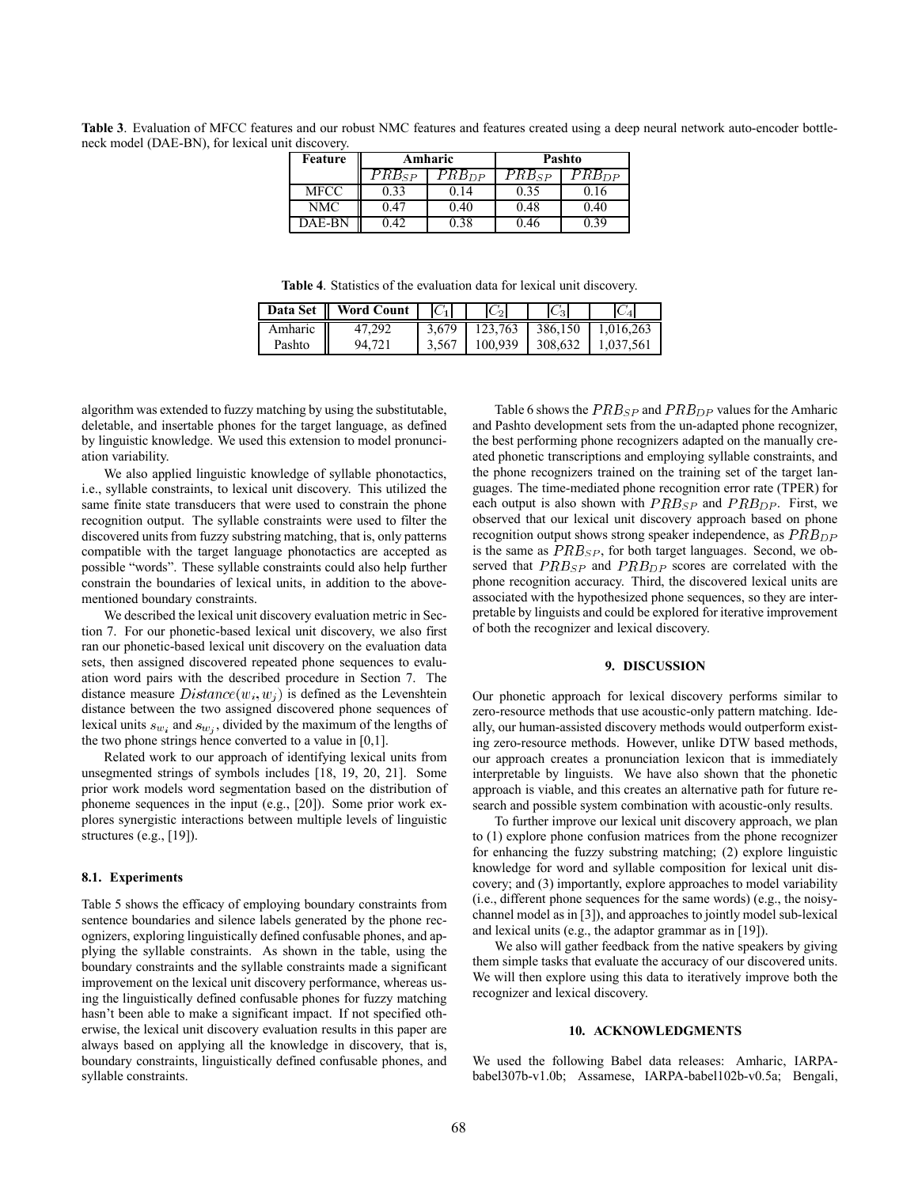**Table 3**. Evaluation of MFCC features and our robust NMC features and features created using a deep neural network auto-encoder bottleneck model (DAE-BN), for lexical unit discovery.

| Feature     |       | Amharic    | Pashto     |                               |  |
|-------------|-------|------------|------------|-------------------------------|--|
|             | PRBsp | $PRB_{DP}$ | $PRB_{SP}$ | <sup>9</sup> RB <sub>DP</sub> |  |
| <b>MFCC</b> | 0.33  | 1.14       | 0.35       | 9.16                          |  |
| <b>NMC</b>  | 0.47  | 0.40       | 0.48       | 0.40                          |  |
| DAE-BN      | 147   |            | 0.46       |                               |  |

**Table 4**. Statistics of the evaluation data for lexical unit discovery.

|         | Data Set    Word Count |       | $C_2$   |         |                   |
|---------|------------------------|-------|---------|---------|-------------------|
| Amharic | 47.292                 | 3.679 | 123.763 |         | 386.150 1.016.263 |
| Pashto  | 94,721                 | 3.567 | 100.939 | 308.632 | 1.037.561         |

algorithm was extended to fuzzy matching by using the substitutable, deletable, and insertable phones for the target language, as defined by linguistic knowledge. We used this extension to model pronunciation variability.

We also applied linguistic knowledge of syllable phonotactics, i.e., syllable constraints, to lexical unit discovery. This utilized the same finite state transducers that were used to constrain the phone recognition output. The syllable constraints were used to filter the discovered units from fuzzy substring matching, that is, only patterns compatible with the target language phonotactics are accepted as possible "words". These syllable constraints could also help further constrain the boundaries of lexical units, in addition to the abovementioned boundary constraints.

We described the lexical unit discovery evaluation metric in Section 7. For our phonetic-based lexical unit discovery, we also first ran our phonetic-based lexical unit discovery on the evaluation data sets, then assigned discovered repeated phone sequences to evaluation word pairs with the described procedure in Section 7. The distance measure  $Distance(w_i, w_j)$  is defined as the Levenshtein distance between the two assigned discovered phone sequences of lexical units  $s_{w_i}$  and  $s_{w_j}$ , divided by the maximum of the lengths of the two phone strings hence converted to a value in [0,1].

Related work to our approach of identifying lexical units from unsegmented strings of symbols includes [18, 19, 20, 21]. Some prior work models word segmentation based on the distribution of phoneme sequences in the input (e.g., [20]). Some prior work explores synergistic interactions between multiple levels of linguistic structures (e.g., [19]).

#### **8.1. Experiments**

Table 5 shows the efficacy of employing boundary constraints from sentence boundaries and silence labels generated by the phone recognizers, exploring linguistically defined confusable phones, and applying the syllable constraints. As shown in the table, using the boundary constraints and the syllable constraints made a significant improvement on the lexical unit discovery performance, whereas using the linguistically defined confusable phones for fuzzy matching hasn't been able to make a significant impact. If not specified otherwise, the lexical unit discovery evaluation results in this paper are always based on applying all the knowledge in discovery, that is, boundary constraints, linguistically defined confusable phones, and syllable constraints.

Table 6 shows the  $PRB_{SP}$  and  $PRB_{DP}$  values for the Amharic and Pashto development sets from the un-adapted phone recognizer, the best performing phone recognizers adapted on the manually created phonetic transcriptions and employing syllable constraints, and the phone recognizers trained on the training set of the target languages. The time-mediated phone recognition error rate (TPER) for each output is also shown with  $PRB_{SP}$  and  $PRB_{DP}$ . First, we observed that our lexical unit discovery approach based on phone recognition output shows strong speaker independence, as  $PRB_{DP}$ is the same as  $PRB_{SP}$ , for both target languages. Second, we observed that  $PRB_{SP}$  and  $PRB_{DP}$  scores are correlated with the phone recognition accuracy. Third, the discovered lexical units are associated with the hypothesized phone sequences, so they are interpretable by linguists and could be explored for iterative improvement of both the recognizer and lexical discovery.

# **9. DISCUSSION**

Our phonetic approach for lexical discovery performs similar to zero-resource methods that use acoustic-only pattern matching. Ideally, our human-assisted discovery methods would outperform existing zero-resource methods. However, unlike DTW based methods, our approach creates a pronunciation lexicon that is immediately interpretable by linguists. We have also shown that the phonetic approach is viable, and this creates an alternative path for future research and possible system combination with acoustic-only results.

To further improve our lexical unit discovery approach, we plan to (1) explore phone confusion matrices from the phone recognizer for enhancing the fuzzy substring matching; (2) explore linguistic knowledge for word and syllable composition for lexical unit discovery; and (3) importantly, explore approaches to model variability (i.e., different phone sequences for the same words) (e.g., the noisychannel model as in [3]), and approaches to jointly model sub-lexical and lexical units (e.g., the adaptor grammar as in [19]).

We also will gather feedback from the native speakers by giving them simple tasks that evaluate the accuracy of our discovered units. We will then explore using this data to iteratively improve both the recognizer and lexical discovery.

### **10. ACKNOWLEDGMENTS**

We used the following Babel data releases: Amharic, IARPAbabel307b-v1.0b; Assamese, IARPA-babel102b-v0.5a; Bengali,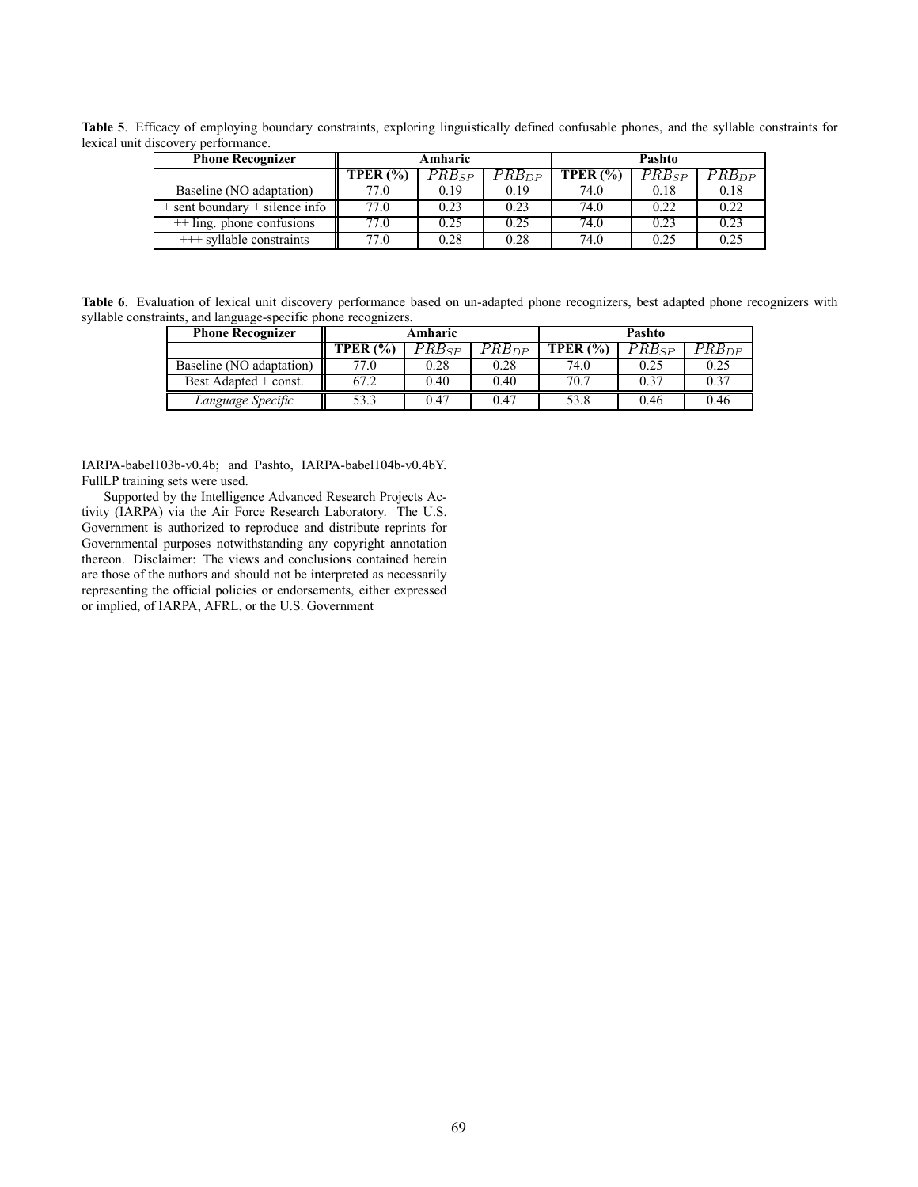**Table 5**. Efficacy of employing boundary constraints, exploring linguistically defined confusable phones, and the syllable constraints for lexical unit discovery performance.

| <b>Phone Recognizer</b>               | Amharic         |            |            | Pashto   |            |            |
|---------------------------------------|-----------------|------------|------------|----------|------------|------------|
|                                       | <b>TPER (%)</b> | $PRB_{SP}$ | $PRB_{DP}$ | TPER (%) | $PRB_{SP}$ | $PRB_{DP}$ |
| Baseline (NO adaptation)              | 77.0            | 0.19       | 0.19       | 74.0     | 0.18       | 0.18       |
| $+$ sent boundary $+$ silence info    | 77.0            | 0.23       | 0.23       | 74.0     | 0.22       | 0.22       |
| $+$ ling. phone confusions            | 77.0            | 0.25       | 0.25       | 74.0     | 0.23       | 0.23       |
| $\overline{+++}$ syllable constraints | 77.0            | 0.28       | 0.28       | 74.0     | 0.25       | 0.25       |

Table 6. Evaluation of lexical unit discovery performance based on un-adapted phone recognizers, best adapted phone recognizers with syllable constraints, and language-specific phone recognizers.

| <b>Phone Recognizer</b>  | Amharic  |            |            | Pashto     |            |            |
|--------------------------|----------|------------|------------|------------|------------|------------|
|                          | TPER (%) | $PRB_{SP}$ | $PRB_{DP}$ | TPER $(%)$ | $PRB_{SP}$ | $PRB_{DP}$ |
| Baseline (NO adaptation) | 77.0     | 0.28       | 0.28       | 74.0       | 0.25       | 0.25       |
| Best Adapted + const.    | 67.2     | 0.40       | 0.40       | 70.7       | 0.37       | 0.37       |
| Language Specific        | 53.3     | 0.47       | 0.47       | 53.8       | 0.46       | 0.46       |

IARPA-babel103b-v0.4b; and Pashto, IARPA-babel104b-v0.4bY. FullLP training sets were used.

Supported by the Intelligence Advanced Research Projects Activity (IARPA) via the Air Force Research Laboratory. The U.S. Government is authorized to reproduce and distribute reprints for Governmental purposes notwithstanding any copyright annotation thereon. Disclaimer: The views and conclusions contained herein are those of the authors and should not be interpreted as necessarily representing the official policies or endorsements, either expressed or implied, of IARPA, AFRL, or the U.S. Government